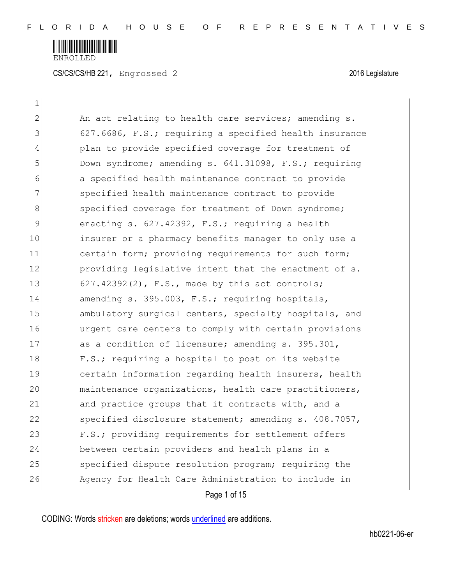

CS/CS/CS/HB 221, Engrossed 2 2016 Legislature

 $\mathbf{1}$ 

| $\mathbf{2}$ | An act relating to health care services; amending s.   |
|--------------|--------------------------------------------------------|
| 3            | 627.6686, F.S.; requiring a specified health insurance |
| 4            | plan to provide specified coverage for treatment of    |
| 5            | Down syndrome; amending s. 641.31098, F.S.; requiring  |
| 6            | a specified health maintenance contract to provide     |
| 7            | specified health maintenance contract to provide       |
| 8            | specified coverage for treatment of Down syndrome;     |
| 9            | enacting s. 627.42392, F.S.; requiring a health        |
| 10           | insurer or a pharmacy benefits manager to only use a   |
| 11           | certain form; providing requirements for such form;    |
| 12           | providing legislative intent that the enactment of s.  |
| 13           | $627.42392(2)$ , F.S., made by this act controls;      |
| 14           | amending s. 395.003, F.S.; requiring hospitals,        |
| 15           | ambulatory surgical centers, specialty hospitals, and  |
| 16           | urgent care centers to comply with certain provisions  |
| 17           | as a condition of licensure; amending s. 395.301,      |
| 18           | F.S.; requiring a hospital to post on its website      |
| 19           | certain information regarding health insurers, health  |
| 20           | maintenance organizations, health care practitioners,  |
| 21           | and practice groups that it contracts with, and a      |
| 22           | specified disclosure statement; amending s. 408.7057,  |
| 23           | F.S.; providing requirements for settlement offers     |
| 24           | between certain providers and health plans in a        |
| 25           | specified dispute resolution program; requiring the    |
| 26           | Agency for Health Care Administration to include in    |
|              | Page 1 of 15                                           |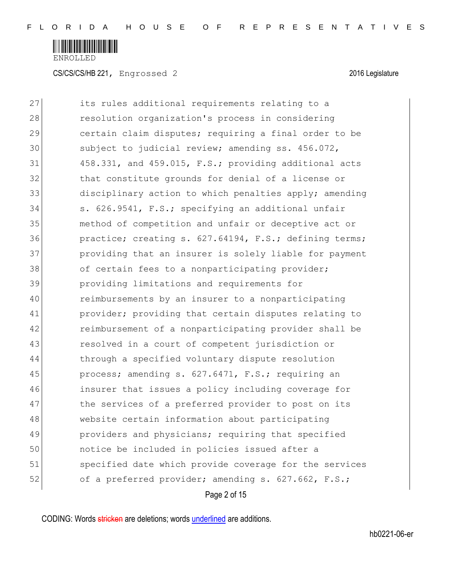

CS/CS/CS/HB 221, Engrossed 2 2016 Legislature

27 its rules additional requirements relating to a 28 resolution organization's process in considering 29 certain claim disputes; requiring a final order to be 30 subject to judicial review; amending ss. 456.072,  $31$  458.331, and 459.015, F.S.; providing additional acts 32 bthat constitute grounds for denial of a license or 33 disciplinary action to which penalties apply; amending 34 S. 626.9541, F.S.; specifying an additional unfair 35 method of competition and unfair or deceptive act or 36 practice; creating s. 627.64194, F.S.; defining terms; 37 providing that an insurer is solely liable for payment 38 of certain fees to a nonparticipating provider; 39 providing limitations and requirements for 40 reimbursements by an insurer to a nonparticipating 41 provider; providing that certain disputes relating to 42 reimbursement of a nonparticipating provider shall be 43 resolved in a court of competent jurisdiction or 44 through a specified voluntary dispute resolution 45 process; amending s. 627.6471, F.S.; requiring an 46 insurer that issues a policy including coverage for 47 the services of a preferred provider to post on its 48 website certain information about participating 49 providers and physicians; requiring that specified 50 notice be included in policies issued after a 51 specified date which provide coverage for the services 52 of a preferred provider; amending s. 627.662, F.S.;

Page 2 of 15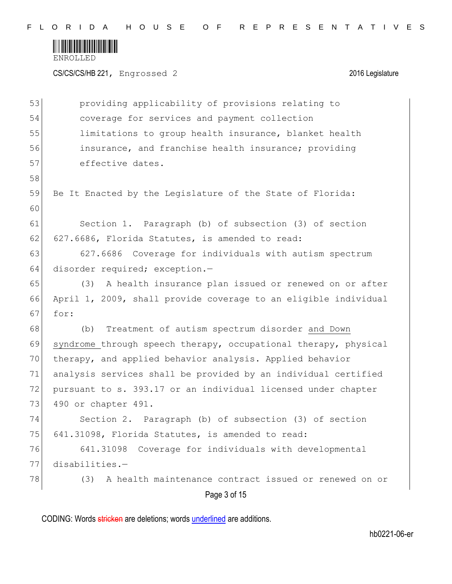

CS/CS/CS/HB 221, Engrossed 2 2016 Legislature

|    | Page 3 of 15                                                    |
|----|-----------------------------------------------------------------|
| 78 | A health maintenance contract issued or renewed on or<br>(3)    |
| 77 | $disabilities. -$                                               |
| 76 | 641.31098<br>Coverage for individuals with developmental        |
| 75 | 641.31098, Florida Statutes, is amended to read:                |
| 74 | Section 2. Paragraph (b) of subsection (3) of section           |
| 73 | 490 or chapter 491.                                             |
| 72 | pursuant to s. 393.17 or an individual licensed under chapter   |
| 71 | analysis services shall be provided by an individual certified  |
| 70 | therapy, and applied behavior analysis. Applied behavior        |
| 69 | syndrome through speech therapy, occupational therapy, physical |
| 68 | (b) Treatment of autism spectrum disorder and Down              |
| 67 | for:                                                            |
| 66 | April 1, 2009, shall provide coverage to an eligible individual |
| 65 | (3) A health insurance plan issued or renewed on or after       |
| 64 | disorder required; exception.-                                  |
| 63 | 627.6686 Coverage for individuals with autism spectrum          |
| 62 | 627.6686, Florida Statutes, is amended to read:                 |
| 61 | Section 1. Paragraph (b) of subsection (3) of section           |
| 60 |                                                                 |
| 59 | Be It Enacted by the Legislature of the State of Florida:       |
| 58 |                                                                 |
| 57 | effective dates.                                                |
| 56 | insurance, and franchise health insurance; providing            |
| 55 | limitations to group health insurance, blanket health           |
| 54 | coverage for services and payment collection                    |
| 53 | providing applicability of provisions relating to               |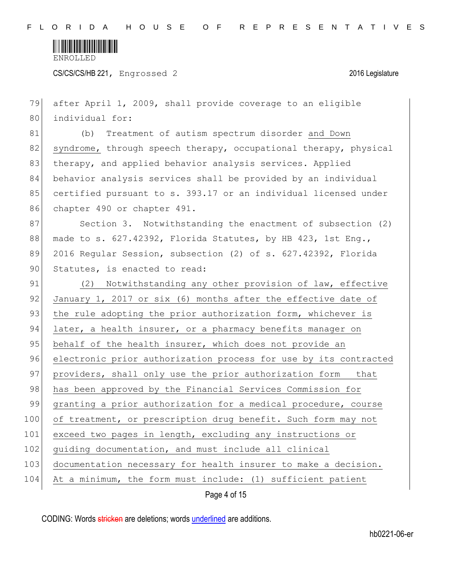

CS/CS/CS/HB 221, Engrossed 2 2016 Legislature

| 79  | after April 1, 2009, shall provide coverage to an eligible       |
|-----|------------------------------------------------------------------|
| 80  | individual for:                                                  |
| 81  | Treatment of autism spectrum disorder and Down<br>(b)            |
| 82  | syndrome, through speech therapy, occupational therapy, physical |
| 83  | therapy, and applied behavior analysis services. Applied         |
| 84  | behavior analysis services shall be provided by an individual    |
| 85  | certified pursuant to s. 393.17 or an individual licensed under  |
| 86  | chapter 490 or chapter 491.                                      |
| 87  | Section 3. Notwithstanding the enactment of subsection (2)       |
| 88  | made to s. 627.42392, Florida Statutes, by HB 423, 1st Eng.,     |
| 89  | 2016 Regular Session, subsection (2) of s. 627.42392, Florida    |
| 90  | Statutes, is enacted to read:                                    |
| 91  | (2) Notwithstanding any other provision of law, effective        |
| 92  | January 1, 2017 or six (6) months after the effective date of    |
| 93  | the rule adopting the prior authorization form, whichever is     |
| 94  | later, a health insurer, or a pharmacy benefits manager on       |
| 95  | behalf of the health insurer, which does not provide an          |
| 96  | electronic prior authorization process for use by its contracted |
| 97  | providers, shall only use the prior authorization form that      |
| 98  | has been approved by the Financial Services Commission for       |
| 99  | granting a prior authorization for a medical procedure, course   |
| 100 | of treatment, or prescription drug benefit. Such form may not    |
| 101 | exceed two pages in length, excluding any instructions or        |
| 102 | guiding documentation, and must include all clinical             |
| 103 | documentation necessary for health insurer to make a decision.   |
| 104 | At a minimum, the form must include: (1) sufficient patient      |
|     | Page 4 of 15                                                     |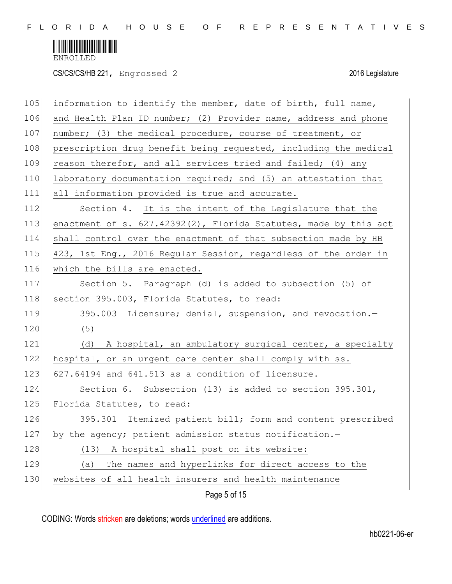

CS/CS/CS/HB 221, Engrossed 2 2016 Legislature

| 105 | information to identify the member, date of birth, full name,       |
|-----|---------------------------------------------------------------------|
| 106 | and Health Plan ID number; (2) Provider name, address and phone     |
| 107 | number; (3) the medical procedure, course of treatment, or          |
| 108 | prescription drug benefit being requested, including the medical    |
| 109 | reason therefor, and all services tried and failed; (4) any         |
| 110 | laboratory documentation required; and (5) an attestation that      |
| 111 | all information provided is true and accurate.                      |
| 112 | Section 4. It is the intent of the Legislature that the             |
| 113 | enactment of s. $627.42392(2)$ , Florida Statutes, made by this act |
| 114 | shall control over the enactment of that subsection made by HB      |
| 115 | 423, 1st Eng., 2016 Regular Session, regardless of the order in     |
| 116 | which the bills are enacted.                                        |
| 117 | Section 5. Paragraph (d) is added to subsection (5) of              |
| 118 | section 395.003, Florida Statutes, to read:                         |
| 119 | 395.003 Licensure; denial, suspension, and revocation.-             |
| 120 | (5)                                                                 |
| 121 | (d) A hospital, an ambulatory surgical center, a specialty          |
| 122 | hospital, or an urgent care center shall comply with ss.            |
| 123 | 627.64194 and 641.513 as a condition of licensure.                  |
| 124 | Section 6. Subsection (13) is added to section 395.301,             |
| 125 | Florida Statutes, to read:                                          |
| 126 | 395.301 Itemized patient bill; form and content prescribed          |
| 127 | by the agency; patient admission status notification.-              |
| 128 | A hospital shall post on its website:<br>(13)                       |
| 129 | The names and hyperlinks for direct access to the<br>(a)            |
| 130 | websites of all health insurers and health maintenance              |
|     | Page 5 of 15                                                        |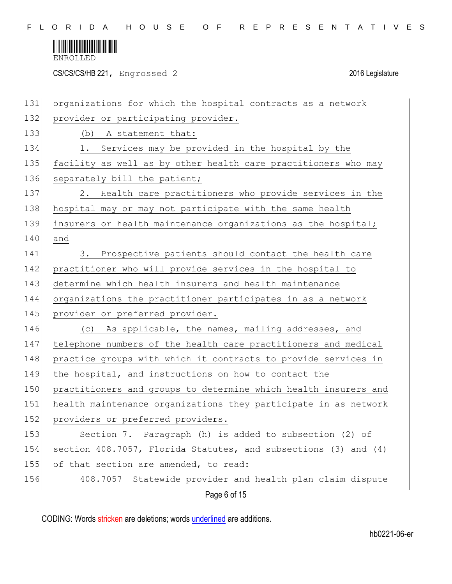

CS/CS/CS/HB 221, Engrossed 2 2016 Legislature

| 131 | organizations for which the hospital contracts as a network     |
|-----|-----------------------------------------------------------------|
| 132 | provider or participating provider.                             |
| 133 | (b) A statement that:                                           |
| 134 | Services may be provided in the hospital by the<br>1.           |
| 135 | facility as well as by other health care practitioners who may  |
| 136 | separately bill the patient;                                    |
| 137 | Health care practitioners who provide services in the<br>2.     |
| 138 | hospital may or may not participate with the same health        |
| 139 | insurers or health maintenance organizations as the hospital;   |
| 140 | and                                                             |
| 141 | Prospective patients should contact the health care<br>3.       |
| 142 | practitioner who will provide services in the hospital to       |
| 143 | determine which health insurers and health maintenance          |
| 144 | organizations the practitioner participates in as a network     |
| 145 | provider or preferred provider.                                 |
| 146 | As applicable, the names, mailing addresses, and<br>(C)         |
| 147 | telephone numbers of the health care practitioners and medical  |
| 148 | practice groups with which it contracts to provide services in  |
| 149 | the hospital, and instructions on how to contact the            |
| 150 | practitioners and groups to determine which health insurers and |
| 151 | health maintenance organizations they participate in as network |
| 152 | providers or preferred providers.                               |
| 153 | Section 7. Paragraph (h) is added to subsection (2) of          |
| 154 | section 408.7057, Florida Statutes, and subsections (3) and (4) |
| 155 | of that section are amended, to read:                           |
| 156 | 408.7057 Statewide provider and health plan claim dispute       |
|     | Page 6 of 15                                                    |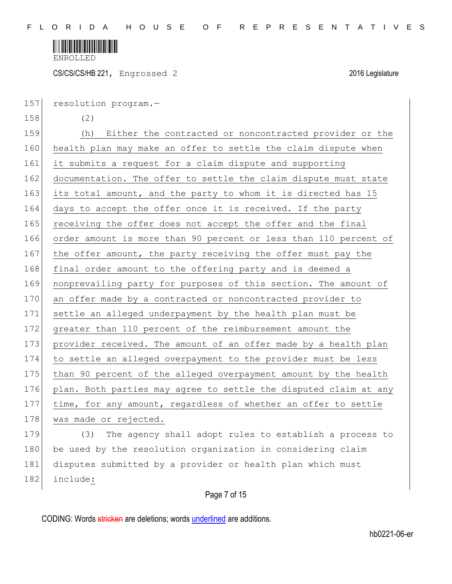

CS/CS/CS/HB 221, Engrossed 2 2016 Legislature

157 resolution program.-

158 (2)

159 (h) Either the contracted or noncontracted provider or the 160 health plan may make an offer to settle the claim dispute when 161 it submits a request for a claim dispute and supporting 162 documentation. The offer to settle the claim dispute must state 163 its total amount, and the party to whom it is directed has 15 164 days to accept the offer once it is received. If the party 165 receiving the offer does not accept the offer and the final 166 order amount is more than 90 percent or less than 110 percent of 167 the offer amount, the party receiving the offer must pay the 168 final order amount to the offering party and is deemed a 169 nonprevailing party for purposes of this section. The amount of 170 an offer made by a contracted or noncontracted provider to 171 settle an alleged underpayment by the health plan must be 172 greater than 110 percent of the reimbursement amount the 173 provider received. The amount of an offer made by a health plan 174 to settle an alleged overpayment to the provider must be less 175 than 90 percent of the alleged overpayment amount by the health 176 plan. Both parties may agree to settle the disputed claim at any 177 time, for any amount, regardless of whether an offer to settle 178 was made or rejected. 179 (3) The agency shall adopt rules to establish a process to

180 be used by the resolution organization in considering claim 181 disputes submitted by a provider or health plan which must 182 include:

## Page 7 of 15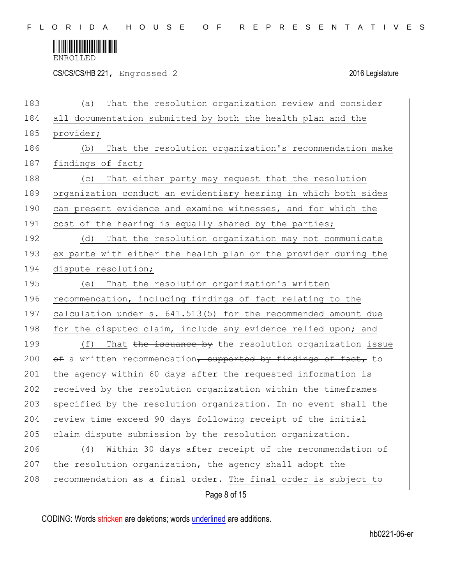

CS/CS/CS/HB 221, Engrossed 2 2016 Legislature

| 183 | That the resolution organization review and consider<br>(a)     |
|-----|-----------------------------------------------------------------|
| 184 | all documentation submitted by both the health plan and the     |
| 185 | provider;                                                       |
| 186 | That the resolution organization's recommendation make<br>(b)   |
| 187 | findings of fact;                                               |
| 188 | That either party may request that the resolution<br>(C)        |
| 189 | organization conduct an evidentiary hearing in which both sides |
| 190 | can present evidence and examine witnesses, and for which the   |
| 191 | cost of the hearing is equally shared by the parties;           |
| 192 | That the resolution organization may not communicate<br>(d)     |
| 193 | ex parte with either the health plan or the provider during the |
| 194 | dispute resolution;                                             |
| 195 | That the resolution organization's written<br>(e)               |
| 196 | recommendation, including findings of fact relating to the      |
| 197 | calculation under s. 641.513(5) for the recommended amount due  |
| 198 | for the disputed claim, include any evidence relied upon; and   |
| 199 | That the issuance by the resolution organization issue<br>(f)   |
| 200 | of a written recommendation, supported by findings of fact, to  |
| 201 | the agency within 60 days after the requested information is    |
| 202 | received by the resolution organization within the timeframes   |
| 203 | specified by the resolution organization. In no event shall the |
| 204 | review time exceed 90 days following receipt of the initial     |
| 205 | claim dispute submission by the resolution organization.        |
| 206 | Within 30 days after receipt of the recommendation of<br>(4)    |
| 207 | the resolution organization, the agency shall adopt the         |
| 208 | recommendation as a final order. The final order is subject to  |
|     | Page 8 of 15                                                    |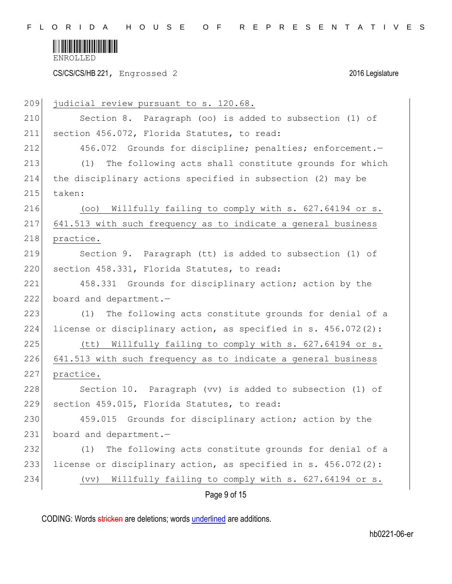

CS/CS/CS/HB 221, Engrossed 2 2016 Legislature

| 209 | judicial review pursuant to s. 120.68.                            |
|-----|-------------------------------------------------------------------|
| 210 | Section 8. Paragraph (oo) is added to subsection (1) of           |
| 211 | section 456.072, Florida Statutes, to read:                       |
| 212 | 456.072 Grounds for discipline; penalties; enforcement.-          |
| 213 | The following acts shall constitute grounds for which<br>(1)      |
| 214 | the disciplinary actions specified in subsection (2) may be       |
| 215 | taken:                                                            |
| 216 | Willfully failing to comply with s. 627.64194 or s.<br>(00)       |
| 217 | 641.513 with such frequency as to indicate a general business     |
| 218 | practice.                                                         |
| 219 | Section 9. Paragraph (tt) is added to subsection (1) of           |
| 220 | section 458.331, Florida Statutes, to read:                       |
| 221 | 458.331 Grounds for disciplinary action; action by the            |
| 222 | board and department.-                                            |
| 223 | The following acts constitute grounds for denial of a<br>(1)      |
| 224 | license or disciplinary action, as specified in s. $456.072(2)$ : |
| 225 | (しし)<br>Willfully failing to comply with s. 627.64194 or s.       |
| 226 | 641.513 with such frequency as to indicate a general business     |
| 227 | practice.                                                         |
| 228 | Section 10. Paragraph (vv) is added to subsection (1) of          |
| 229 | section 459.015, Florida Statutes, to read:                       |
| 230 | 459.015 Grounds for disciplinary action; action by the            |
| 231 | board and department.-                                            |
| 232 | The following acts constitute grounds for denial of a<br>(1)      |
| 233 | license or disciplinary action, as specified in s. 456.072(2):    |
| 234 | Willfully failing to comply with s. 627.64194 or s.<br>(vv)       |
|     | Page 9 of 15                                                      |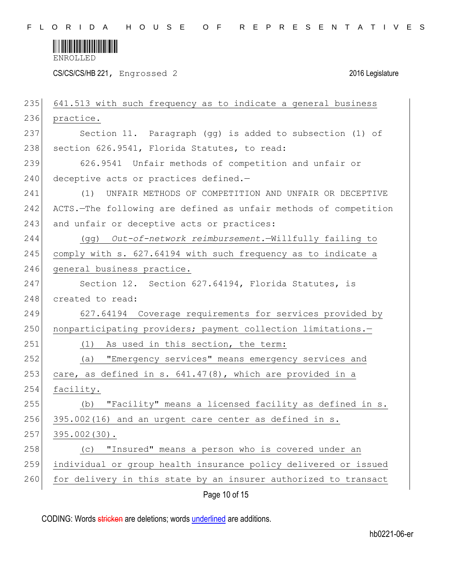

CS/CS/CS/HB 221, Engrossed 2 2016 Legislature

| 235 | 641.513 with such frequency as to indicate a general business    |
|-----|------------------------------------------------------------------|
| 236 | practice.                                                        |
| 237 | Section 11. Paragraph (gg) is added to subsection (1) of         |
| 238 | section 626.9541, Florida Statutes, to read:                     |
| 239 | 626.9541 Unfair methods of competition and unfair or             |
| 240 | deceptive acts or practices defined.-                            |
| 241 | UNFAIR METHODS OF COMPETITION AND UNFAIR OR DECEPTIVE<br>(1)     |
| 242 | ACTS.-The following are defined as unfair methods of competition |
| 243 | and unfair or deceptive acts or practices:                       |
| 244 | (gg) Out-of-network reimbursement.-Willfully failing to          |
| 245 | comply with s. 627.64194 with such frequency as to indicate a    |
| 246 | general business practice.                                       |
| 247 | Section 12. Section 627.64194, Florida Statutes, is              |
| 248 | created to read:                                                 |
| 249 | 627.64194 Coverage requirements for services provided by         |
| 250 | nonparticipating providers; payment collection limitations.-     |
| 251 | As used in this section, the term:<br>(1)                        |
| 252 | "Emergency services" means emergency services and<br>(a)         |
| 253 | care, as defined in s. 641.47(8), which are provided in a        |
| 254 | facility.                                                        |
| 255 | "Facility" means a licensed facility as defined in s.<br>(b)     |
| 256 | 395.002(16) and an urgent care center as defined in s.           |
| 257 | 395.002 (30).                                                    |
| 258 | "Insured" means a person who is covered under an<br>(C)          |
| 259 | individual or group health insurance policy delivered or issued  |
| 260 | for delivery in this state by an insurer authorized to transact  |
|     | Page 10 of 15                                                    |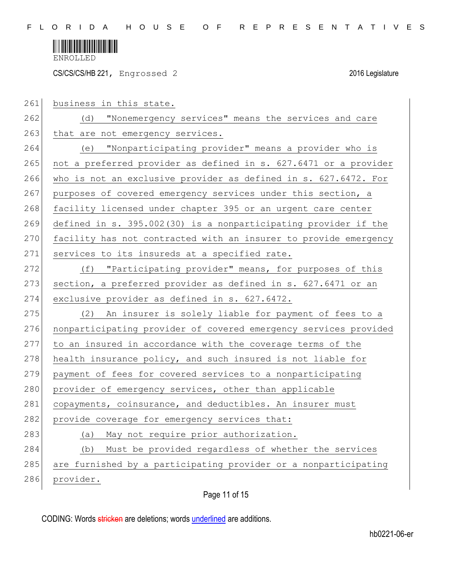

CS/CS/CS/HB 221, Engrossed 2 2016 Legislature

| 261 | business in this state.                                          |
|-----|------------------------------------------------------------------|
| 262 | (d) "Nonemergency services" means the services and care          |
| 263 | that are not emergency services.                                 |
| 264 | (e) "Nonparticipating provider" means a provider who is          |
| 265 | not a preferred provider as defined in s. 627.6471 or a provider |
| 266 | who is not an exclusive provider as defined in s. 627.6472. For  |
| 267 | purposes of covered emergency services under this section, a     |
| 268 | facility licensed under chapter 395 or an urgent care center     |
| 269 | defined in s. 395.002(30) is a nonparticipating provider if the  |
| 270 | facility has not contracted with an insurer to provide emergency |
| 271 | services to its insureds at a specified rate.                    |
| 272 | (f) "Participating provider" means, for purposes of this         |
| 273 | section, a preferred provider as defined in s. 627.6471 or an    |
| 274 | exclusive provider as defined in s. 627.6472.                    |
| 275 | (2) An insurer is solely liable for payment of fees to a         |
| 276 | nonparticipating provider of covered emergency services provided |
| 277 | to an insured in accordance with the coverage terms of the       |
| 278 | health insurance policy, and such insured is not liable for      |
| 279 | payment of fees for covered services to a nonparticipating       |
| 280 | provider of emergency services, other than applicable            |
| 281 | copayments, coinsurance, and deductibles. An insurer must        |
| 282 | provide coverage for emergency services that:                    |
| 283 | May not require prior authorization.<br>(a)                      |
| 284 | Must be provided regardless of whether the services<br>(b)       |
| 285 | are furnished by a participating provider or a nonparticipating  |
| 286 | provider.                                                        |
|     |                                                                  |

## Page 11 of 15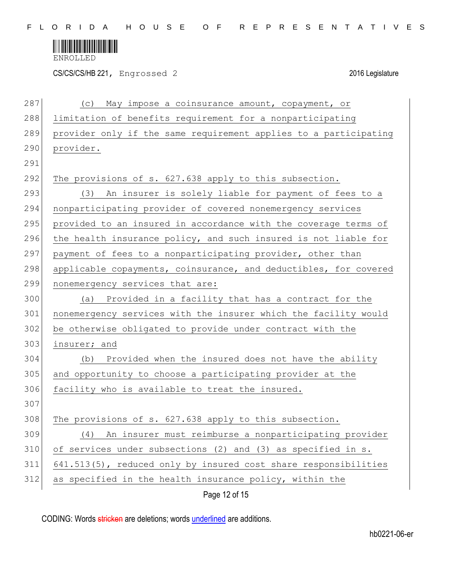

CS/CS/CS/HB 221, Engrossed 2 2016 Legislature

| 287 | (C)<br>May impose a coinsurance amount, copayment, or            |
|-----|------------------------------------------------------------------|
| 288 | limitation of benefits requirement for a nonparticipating        |
| 289 | provider only if the same requirement applies to a participating |
| 290 | provider.                                                        |
| 291 |                                                                  |
| 292 | The provisions of s. 627.638 apply to this subsection.           |
| 293 | (3) An insurer is solely liable for payment of fees to a         |
| 294 | nonparticipating provider of covered nonemergency services       |
| 295 | provided to an insured in accordance with the coverage terms of  |
| 296 | the health insurance policy, and such insured is not liable for  |
| 297 | payment of fees to a nonparticipating provider, other than       |
| 298 | applicable copayments, coinsurance, and deductibles, for covered |
| 299 | nonemergency services that are:                                  |
| 300 | (a) Provided in a facility that has a contract for the           |
| 301 | nonemergency services with the insurer which the facility would  |
| 302 | be otherwise obligated to provide under contract with the        |
| 303 | insurer; and                                                     |
| 304 | (b) Provided when the insured does not have the ability          |
| 305 | and opportunity to choose a participating provider at the        |
| 306 | facility who is available to treat the insured.                  |
| 307 |                                                                  |
| 308 | The provisions of s. 627.638 apply to this subsection.           |
| 309 | An insurer must reimburse a nonparticipating provider<br>(4)     |
| 310 | of services under subsections (2) and (3) as specified in s.     |
| 311 | 641.513(5), reduced only by insured cost share responsibilities  |
| 312 | as specified in the health insurance policy, within the          |
|     | Page 12 of 15                                                    |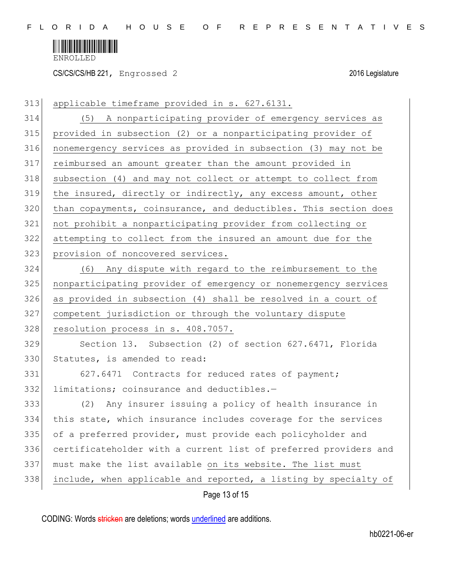

CS/CS/CS/HB 221, Engrossed 2 2016 Legislature

| 313 | applicable timeframe provided in s. 627.6131.                    |
|-----|------------------------------------------------------------------|
| 314 | (5) A nonparticipating provider of emergency services as         |
| 315 | provided in subsection (2) or a nonparticipating provider of     |
| 316 | nonemergency services as provided in subsection (3) may not be   |
| 317 | reimbursed an amount greater than the amount provided in         |
| 318 | subsection (4) and may not collect or attempt to collect from    |
| 319 | the insured, directly or indirectly, any excess amount, other    |
| 320 | than copayments, coinsurance, and deductibles. This section does |
| 321 | not prohibit a nonparticipating provider from collecting or      |
| 322 | attempting to collect from the insured an amount due for the     |
| 323 | provision of noncovered services.                                |
| 324 | (6) Any dispute with regard to the reimbursement to the          |
| 325 | nonparticipating provider of emergency or nonemergency services  |
| 326 | as provided in subsection (4) shall be resolved in a court of    |
| 327 | competent jurisdiction or through the voluntary dispute          |
| 328 | resolution process in s. 408.7057.                               |
| 329 | Section 13. Subsection (2) of section 627.6471, Florida          |
| 330 | Statutes, is amended to read:                                    |
| 331 | 627.6471 Contracts for reduced rates of payment;                 |
| 332 | limitations; coinsurance and deductibles.-                       |
| 333 | (2) Any insurer issuing a policy of health insurance in          |
| 334 | this state, which insurance includes coverage for the services   |
| 335 | of a preferred provider, must provide each policyholder and      |
| 336 | certificateholder with a current list of preferred providers and |
| 337 | must make the list available on its website. The list must       |
| 338 | include, when applicable and reported, a listing by specialty of |
|     | Page 13 of 15                                                    |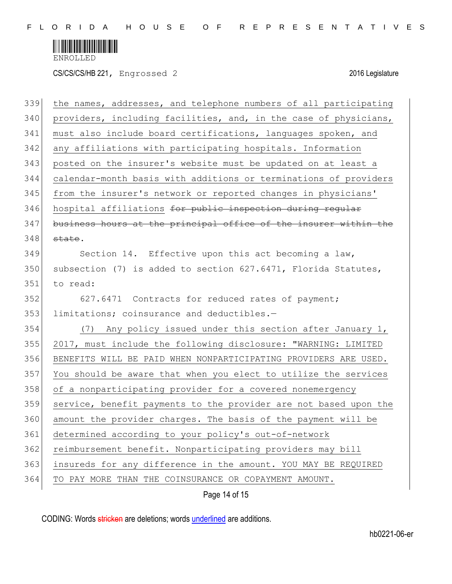

CS/CS/CS/HB 221, Engrossed 2 2016 Legislature

| 339 | the names, addresses, and telephone numbers of all participating |
|-----|------------------------------------------------------------------|
| 340 | providers, including facilities, and, in the case of physicians, |
| 341 | must also include board certifications, languages spoken, and    |
| 342 | any affiliations with participating hospitals. Information       |
| 343 | posted on the insurer's website must be updated on at least a    |
| 344 | calendar-month basis with additions or terminations of providers |
| 345 | from the insurer's network or reported changes in physicians'    |
| 346 | hospital affiliations for public inspection during regular       |
| 347 | business hours at the principal office of the insurer within the |
| 348 | state.                                                           |
| 349 | Section 14. Effective upon this act becoming a law,              |
| 350 | subsection (7) is added to section 627.6471, Florida Statutes,   |
| 351 | to read:                                                         |
| 352 | 627.6471 Contracts for reduced rates of payment;                 |
| 353 | limitations; coinsurance and deductibles.-                       |
| 354 | Any policy issued under this section after January 1,<br>(7)     |
| 355 | 2017, must include the following disclosure: "WARNING: LIMITED   |
| 356 | BENEFITS WILL BE PAID WHEN NONPARTICIPATING PROVIDERS ARE USED.  |
| 357 | You should be aware that when you elect to utilize the services  |
| 358 | of a nonparticipating provider for a covered nonemergency        |
| 359 | service, benefit payments to the provider are not based upon the |
| 360 | amount the provider charges. The basis of the payment will be    |
| 361 | determined according to your policy's out-of-network             |
| 362 | reimbursement benefit. Nonparticipating providers may bill       |
| 363 | insureds for any difference in the amount. YOU MAY BE REQUIRED   |
| 364 | TO PAY MORE THAN THE COINSURANCE OR COPAYMENT AMOUNT.            |
|     |                                                                  |

Page 14 of 15